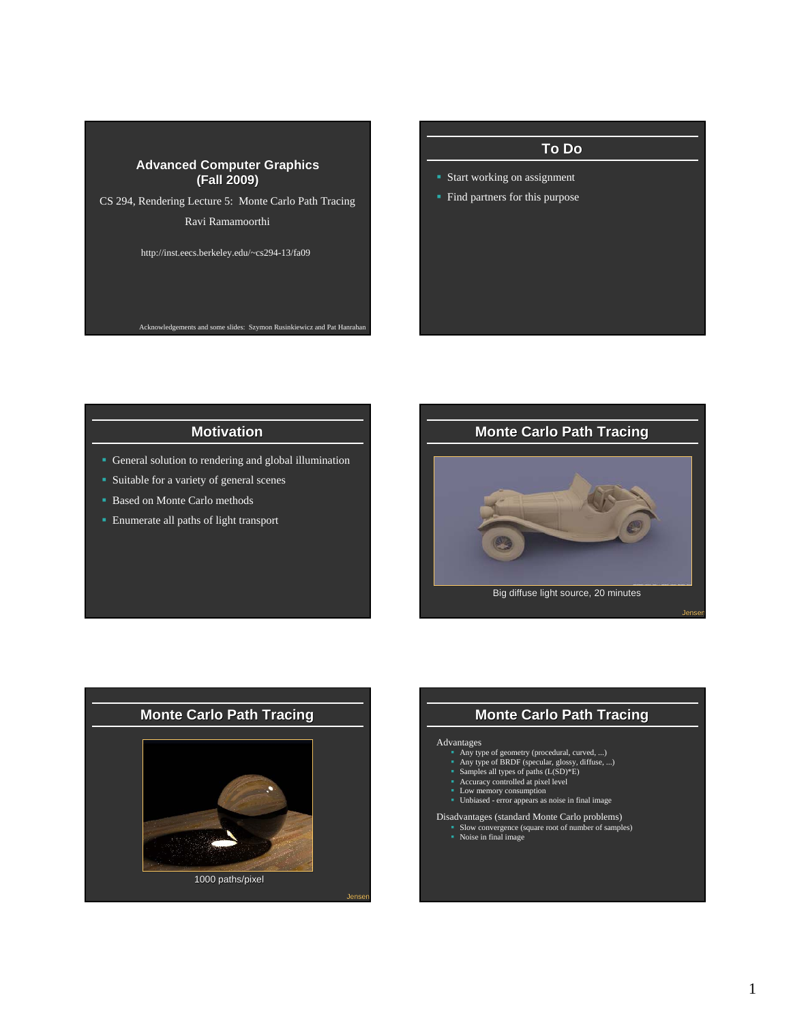CS 294, Rendering Lecture 5: Monte Carlo Path Tracing Ravi Ramamoorthi

http://inst.eecs.berkeley.edu/~cs294-13/fa09

Acknowledgements and some slides: Szymon Rusinkiewicz and Pat Hanraha

# **To Do**

- Start working on assignment
- **Find partners for this purpose**

## **Motivation**

- General solution to rendering and global illumination
- **Suitable for a variety of general scenes**
- **Based on Monte Carlo methods**
- **Enumerate all paths of light transport**





## **Monte Carlo Path Tracing**

#### Advantages

- 
- Any type of geometry (procedural, curved, ...)<br>■ Any type of BRDF (specular, glossy, diffuse, ...)<br>■ Samples all types of paths (L(SD)\*E)<br>■ Accuracy controlled at pixel level<br>■ Low memory consumption<br>■ Unbiased error
- 
- 
- 
- 

Disadvantages (standard Monte Carlo problems)

- Slow convergence (square root of number of samples) Noise in final image
	-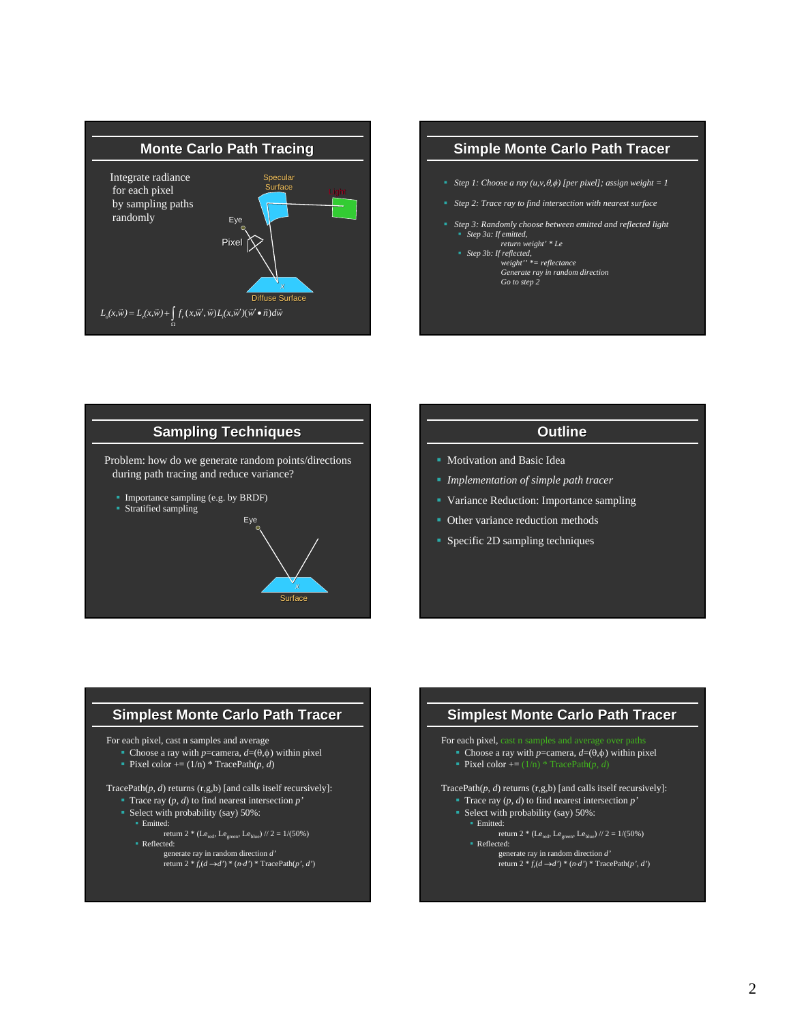

# **Simple Monte Carlo Path Tracer Step 1:** Choose a ray  $(u, v, \theta, \phi)$  [per pixel]; assign weight = 1 *Step 2: Trace ray to find intersection with nearest surface Step 3: Randomly choose between emitted and reflected light Step 3a: If emitted, return weight' \* Le Step 3b: If reflected, weight'' \*= reflectance Generate ray in random direction Go to step 2*

# **Sampling Techniques** Problem: how do we generate random points/directions during path tracing and reduce variance? **Importance sampling (e.g. by BRDF)**  Stratified sampling Eye

## **Outline**

- Motivation and Basic Idea
- *Implementation of simple path tracer*
- Variance Reduction: Importance sampling
- Other variance reduction methods
- **Specific 2D sampling techniques**

## **Simplest Monte Carlo Path Tracer**

**Surface** 

For each pixel, cast n samples and average

- Choose a ray with *p*=camera,  $d=(\theta,\phi)$  within pixel
- Pixel color  $+= (1/n) * TracePath(p, d)$

TracePath(*p*, *d*) returns (r,g,b) [and calls itself recursively]:

- Trace ray (*p*, *d*) to find nearest intersection *p'* Select with probability (say) 50%:
- **Emitted:** return 2 \* (Le<sub>red</sub>, Le<sub>green</sub>, Le<sub>blue</sub>) // 2 = 1/(50%)
- **Reflected:** 
	- generate ray in random direction *d'* return  $2 * f_r(d \rightarrow d') * (n \cdot d') * \text{TracePath}(p', d')$

#### **Simplest Monte Carlo Path Tracer** For each pixel, cast n samples and ave Choose a ray with *p*=camera,  $d=(\theta,\phi)$  within pixel Pixel color +=  $(1/n)$  \* TracePath $(p, d)$ TracePath $(p, d)$  returns  $(r, g, b)$  [and calls itself recursively]: Trace ray (*p*, *d*) to find nearest intersection *p'* Select with probability (say) 50%: **Emitted:** return 2 \* (Le<sub>red</sub>, Le<sub>green</sub>, Le<sub>blue</sub>) // 2 = 1/(50%) Reflected:

generate ray in random direction *d'* return  $2 * f_r(d \rightarrow d') * (n \cdot d') * \text{TracePath}(p', d')$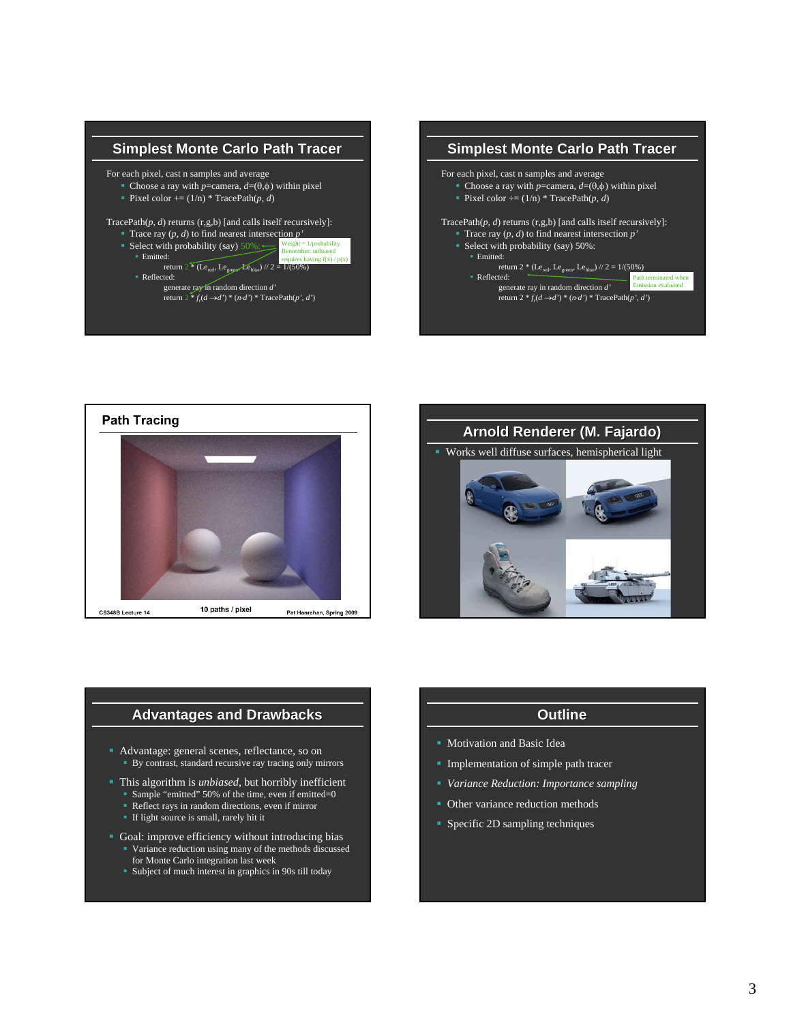

generate ray in random direction *d'* return  $2 * f_r(d \rightarrow d') * (n \cdot d') * \text{TracePath}(p', d')$ 







#### **Advantages and Drawbacks**

- Advantage: general scenes, reflectance, so on By contrast, standard recursive ray tracing only mirrors
- This algorithm is *unbiased*, but horribly inefficient
	- Sample "emitted" 50% of the time, even if emitted=0 Reflect rays in random directions, even if mirror
	- **If light source is small, rarely hit it**
- Goal: improve efficiency without introducing bias Variance reduction using many of the methods discussed for Monte Carlo integration last week
	- Subject of much interest in graphics in 90s till today

## **Outline**

- **Motivation and Basic Idea**
- **Implementation of simple path tracer**
- *Variance Reduction: Importance sampling*
- Other variance reduction methods
- **Specific 2D sampling techniques**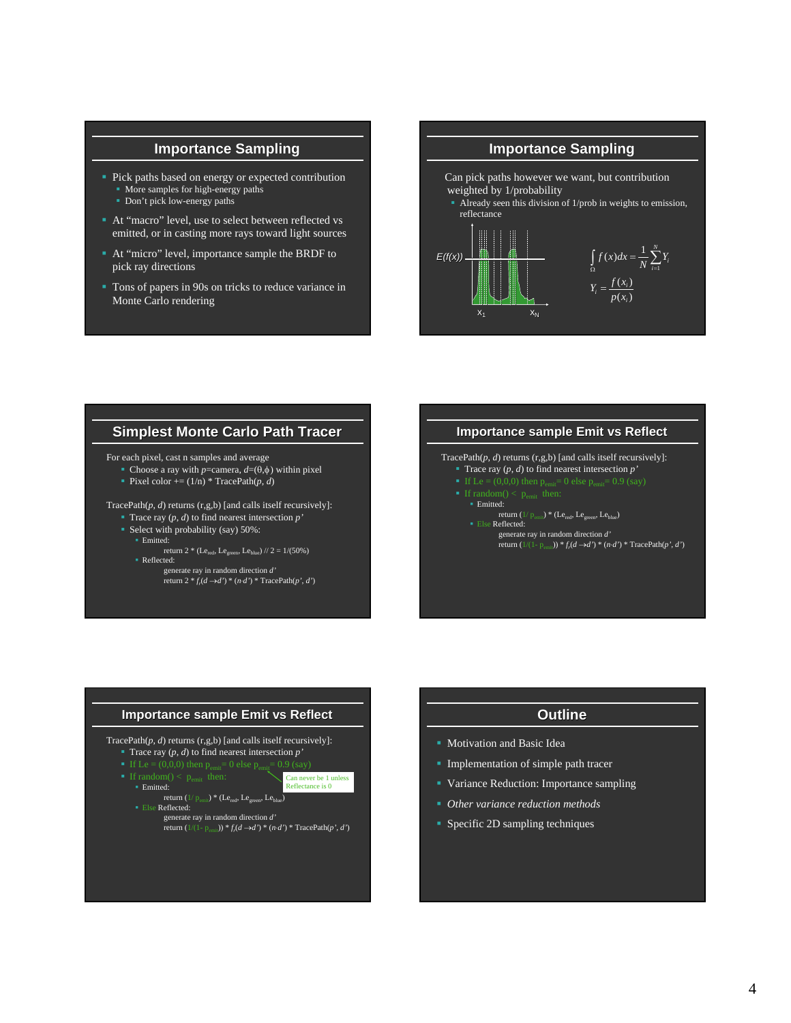## **Importance Sampling**

- Pick paths based on energy or expected contribution **More samples for high-energy paths** 
	- Don't pick low-energy paths
- At "macro" level, use to select between reflected vs emitted, or in casting more rays toward light sources
- At "micro" level, importance sample the BRDF to pick ray directions
- Tons of papers in 90s on tricks to reduce variance in Monte Carlo rendering



#### **Simplest Monte Carlo Path Tracer**

For each pixel, cast n samples and average

• Choose a ray with *p*=camera,  $d=(\theta,\phi)$  within pixel

Pixel color  $+= (1/n) * TracePath(p, d)$ 

TracePath(*p*, *d*) returns (r,g,b) [and calls itself recursively]:

- Trace ray  $(p, d)$  to find nearest intersection  $p'$
- Select with probability (say) 50%:
	- Emitted:
	- return 2 \* (Le<sub>red</sub>, Le<sub>green</sub>, Le<sub>blue</sub>) // 2 = 1/(50%) Reflected:
		- generate ray in random direction *d'* return  $2 * f(d \rightarrow d') * (n \cdot d') * \text{TracePath}(p', d')$

#### **Importance sample Emit vs Reflect**

TracePath(*p*, *d*) returns (r,g,b) [and calls itself recursively]: Trace ray (*p*, *d*) to find nearest intersection *p'*

- 
- - **Emitted:**
	- return (1/ $p_{\text{emit}}$ ) \* (Le<sub>red</sub>, Le<sub>green</sub>, Le<sub>blue</sub>) **Else Reflected:** 
		- generate ray in random direction *d'* return  $(1/(1-p_{\text{emit}})) * f_r(d \to d') * (n \cdot d') * \text{TracePath}(p', d')$

# **Importance sample Emit vs Reflect**

TracePath(*p*, *d*) returns (r,g,b) [and calls itself recursively]:

- Trace ray (*p*, *d*) to find nearest intersection *p'*
- Can never be 1 unless
- Emitted: return  $(1/p_{\text{emit}}) * (Le_{\text{red}}, Le_{\text{green}}, Le_{\text{blue}})$ Reflectance is 0

**Else Reflected:** 

- 
- generate ray in random direction *d'* return  $(1/(1-p_{\text{emit}})) * f_r(d \to d') * (n \cdot d') * \text{TracePath}(p', d')$

## **Outline**

- **Motivation and Basic Idea**
- **Implementation of simple path tracer**
- Variance Reduction: Importance sampling
- *Other variance reduction methods*
- **Specific 2D sampling techniques**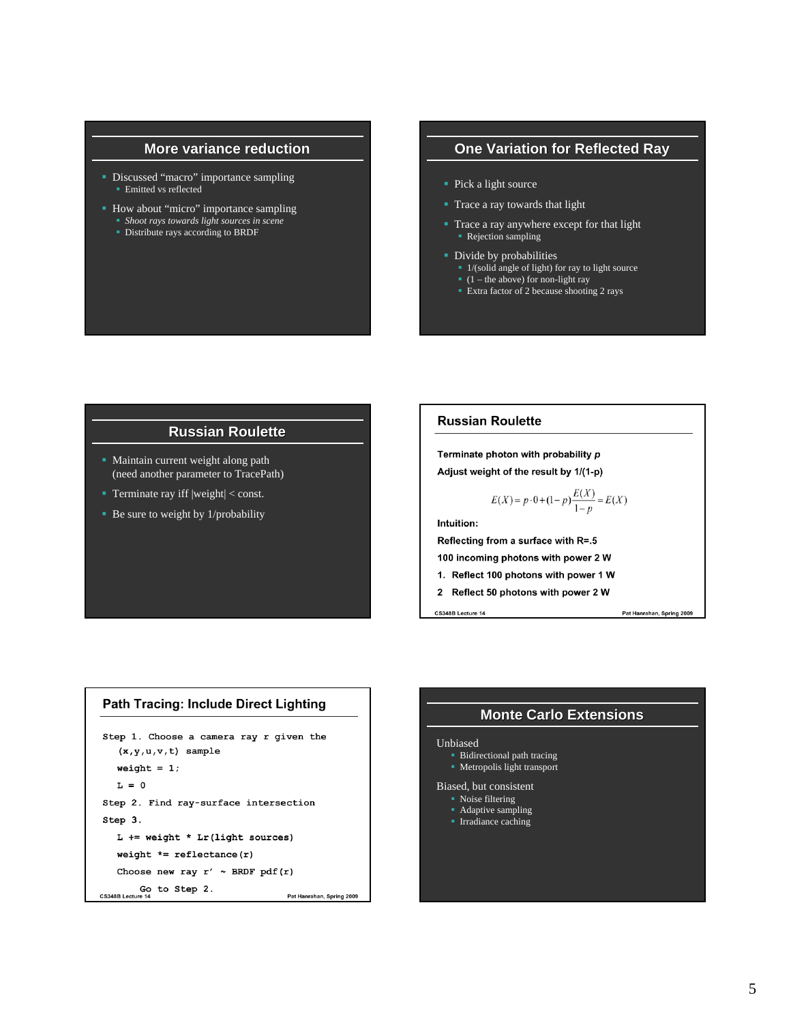#### **More variance reduction**

- Discussed "macro" importance sampling **Emitted vs reflected**
- How about "micro" importance sampling
	- *Shoot rays towards light sources in scene*
	- **Distribute rays according to BRDF**

## **One Variation for Reflected Ray**

- Pick a light source
- Trace a ray towards that light
- Trace a ray anywhere except for that light Rejection sampling
- Divide by probabilities
	- <sup>•</sup> 1/(solid angle of light) for ray to light source
	- $(1 -$  the above) for non-light ray
	- **Extra factor of 2 because shooting 2 rays**

#### **Russian Roulette**

- **Maintain current weight along path** (need another parameter to TracePath)
- Terminate ray iff  $|weight| <$  const.
- $\blacksquare$  Be sure to weight by 1/probability

#### **Russian Roulette**

Terminate photon with probability p Adjust weight of the result by 1/(1-p)

$$
E(X) = p \cdot 0 + (1 - p) \frac{E(X)}{1 - p} = E(X)
$$

Intuition:

Reflecting from a surface with R=.5

100 incoming photons with power 2 W

- 1. Reflect 100 photons with power 1 W
- 2 Reflect 50 photons with power 2 W

CS348B Lecture 14

Pat Hanrahan, Spring 2009

#### **Path Tracing: Include Direct Lighting**

```
Step 1. Choose a camera ray r given the
   (x, y, u, v, t) sample
   weight = 1;
   L = 0Step 2. Find ray-surface intersection
Step 3.
   L += weight * Lr(light sources)
   weight *= reflectance(r)
   Choose new ray r' \sim BRDF pdf(r)
Go to Step 2.<br>CS348B Lecture 14
                                     Pat Hanrahan, Spring 2009
```
#### **Monte Carlo Extensions**

#### Unbiased

**Bidirectional path tracing Metropolis light transport** 

Biased, but consistent

- **Noise filtering**
- Adaptive sampling
- **Irradiance caching**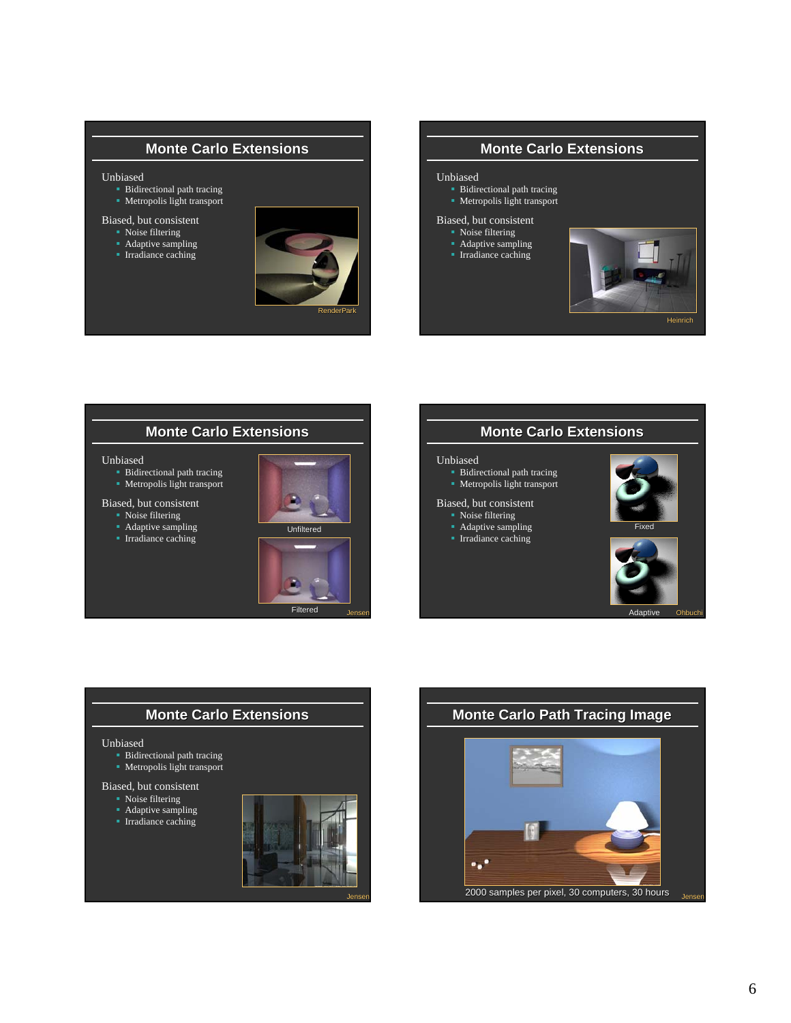## **Monte Carlo Extensions**

#### Unbiased

- Bidirectional path tracing
- **Metropolis light transport**

#### Biased, but consistent

- Noise filtering
- Adaptive sampling
- **Irradiance caching**



## **Monte Carlo Extensions**

#### Unbiased

 Bidirectional path tracing Metropolis light transport

# Biased, but consistent

- Noise filtering
- Adaptive sampling
- **Irradiance caching**



## **Monte Carlo Extensions**

#### Unbiased

- **Bidirectional path tracing**
- Metropolis light transport

#### Biased, but consistent

- Noise filtering
- Adaptive sampling





#### **Monte Carlo Extensions**

#### Unbiased

- Bidirectional path tracing **Metropolis light transport**
- 

## Biased, but consistent

- Noise filtering
- **Adaptive sampling Irradiance caching**



Adaptive

Ohbuchi

# **Monte Carlo Extensions**

#### Unbiased

- **Bidirectional path tracing**
- **Metropolis light transport**

#### Biased, but consistent

- Noise filtering
- Adaptive sampling





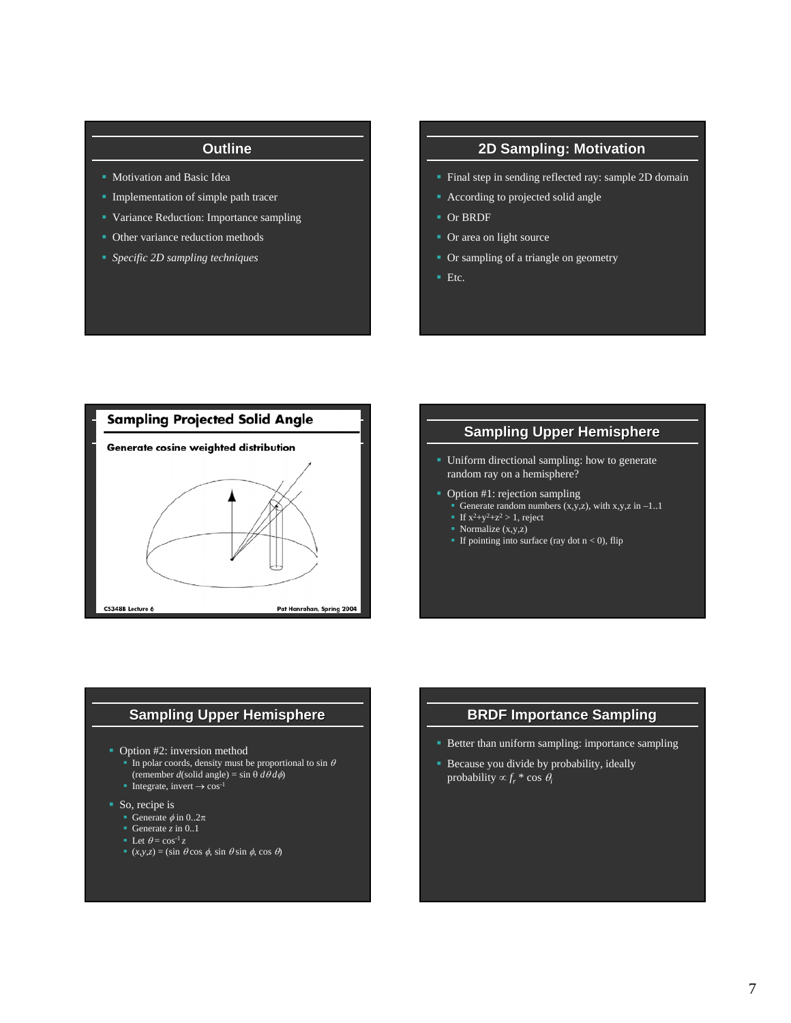## **Outline**

- **Motivation and Basic Idea**
- **Implementation of simple path tracer**
- Variance Reduction: Importance sampling
- Other variance reduction methods
- *Specific 2D sampling techniques*

## **2D Sampling: Motivation**

- Final step in sending reflected ray: sample 2D domain
- According to projected solid angle
- Or BRDF
- Or area on light source
- Or sampling of a triangle on geometry
- $\blacksquare$  Etc.



## **Sampling Upper Hemisphere**

- **Uniform directional sampling: how to generate** random ray on a hemisphere?
- Option #1: rejection sampling
- Generate random numbers  $(x,y,z)$ , with  $x,y,z$  in  $-1.1$ 
	- If  $x^2+y^2+z^2 > 1$ , reject
	- Normalize  $(x,y,z)$
- If pointing into surface (ray dot  $n < 0$ ), flip

## **Sampling Upper Hemisphere**

- Option #2: inversion method
	- In polar coords, density must be proportional to sin  $\theta$ (remember *d*(solid angle) = sin  $\theta d\theta d\phi$ )
	- Integrate, invert  $\rightarrow$  cos<sup>-1</sup>
- So, recipe is
	- Generate  $\phi$  in 0..2 $\pi$
	- Generate  $\overline{z}$  in 0..1
	- Elet  $\theta = \cos^{-1} z$
	- $(x,y,z) = (\sin \theta \cos \phi, \sin \theta \sin \phi, \cos \theta)$

## **BRDF Importance Sampling**

- Better than uniform sampling: importance sampling
- Because you divide by probability, ideally probability  $\propto f_r^* \cos \theta_i$